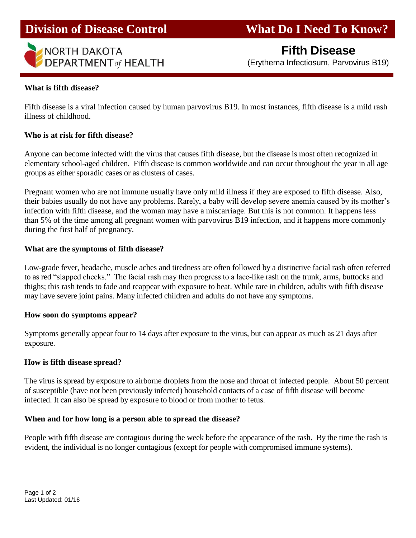

**Division of Disease Control What Do I Need To Know?** 

# **Fifth Disease**

(Erythema Infectiosum, Parvovirus B19)

#### **What is fifth disease?**

I

Fifth disease is a viral infection caused by human parvovirus B19. In most instances, fifth disease is a mild rash illness of childhood.

#### **Who is at risk for fifth disease?**

Anyone can become infected with the virus that causes fifth disease, but the disease is most often recognized in elementary school-aged children. Fifth disease is common worldwide and can occur throughout the year in all age groups as either sporadic cases or as clusters of cases.

Pregnant women who are not immune usually have only mild illness if they are exposed to fifth disease. Also, their babies usually do not have any problems. Rarely, a baby will develop severe anemia caused by its mother's infection with fifth disease, and the woman may have a miscarriage. But this is not common. It happens less than 5% of the time among all pregnant women with parvovirus B19 infection, and it happens more commonly during the first half of pregnancy.

#### **What are the symptoms of fifth disease?**

Low-grade fever, headache, muscle aches and tiredness are often followed by a distinctive facial rash often referred to as red "slapped cheeks." The facial rash may then progress to a lace-like rash on the trunk, arms, buttocks and thighs; this rash tends to fade and reappear with exposure to heat. While rare in children, adults with fifth disease may have severe joint pains. Many infected children and adults do not have any symptoms.

#### **How soon do symptoms appear?**

Symptoms generally appear four to 14 days after exposure to the virus, but can appear as much as 21 days after exposure.

### **How is fifth disease spread?**

The virus is spread by exposure to airborne droplets from the nose and throat of infected people. About 50 percent of susceptible (have not been previously infected) household contacts of a case of fifth disease will become infected. It can also be spread by exposure to blood or from mother to fetus.

### **When and for how long is a person able to spread the disease?**

People with fifth disease are contagious during the week before the appearance of the rash. By the time the rash is evident, the individual is no longer contagious (except for people with compromised immune systems).